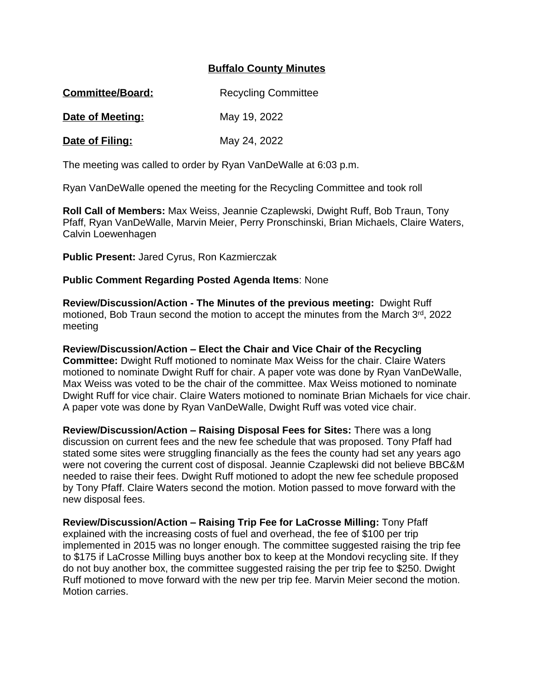## **Buffalo County Minutes**

| <b>Committee/Board:</b> | <b>Recycling Committee</b> |
|-------------------------|----------------------------|
|-------------------------|----------------------------|

**Date of Meeting:** May 19, 2022

**Date of Filing:** May 24, 2022

The meeting was called to order by Ryan VanDeWalle at 6:03 p.m.

Ryan VanDeWalle opened the meeting for the Recycling Committee and took roll

**Roll Call of Members:** Max Weiss, Jeannie Czaplewski, Dwight Ruff, Bob Traun, Tony Pfaff, Ryan VanDeWalle, Marvin Meier, Perry Pronschinski, Brian Michaels, Claire Waters, Calvin Loewenhagen

**Public Present:** Jared Cyrus, Ron Kazmierczak

## **Public Comment Regarding Posted Agenda Items**: None

**Review/Discussion/Action - The Minutes of the previous meeting:** Dwight Ruff motioned, Bob Traun second the motion to accept the minutes from the March 3rd, 2022 meeting

**Review/Discussion/Action – Elect the Chair and Vice Chair of the Recycling Committee:** Dwight Ruff motioned to nominate Max Weiss for the chair. Claire Waters motioned to nominate Dwight Ruff for chair. A paper vote was done by Ryan VanDeWalle, Max Weiss was voted to be the chair of the committee. Max Weiss motioned to nominate Dwight Ruff for vice chair. Claire Waters motioned to nominate Brian Michaels for vice chair. A paper vote was done by Ryan VanDeWalle, Dwight Ruff was voted vice chair.

**Review/Discussion/Action – Raising Disposal Fees for Sites:** There was a long discussion on current fees and the new fee schedule that was proposed. Tony Pfaff had stated some sites were struggling financially as the fees the county had set any years ago were not covering the current cost of disposal. Jeannie Czaplewski did not believe BBC&M needed to raise their fees. Dwight Ruff motioned to adopt the new fee schedule proposed by Tony Pfaff. Claire Waters second the motion. Motion passed to move forward with the new disposal fees.

**Review/Discussion/Action – Raising Trip Fee for LaCrosse Milling:** Tony Pfaff explained with the increasing costs of fuel and overhead, the fee of \$100 per trip implemented in 2015 was no longer enough. The committee suggested raising the trip fee to \$175 if LaCrosse Milling buys another box to keep at the Mondovi recycling site. If they do not buy another box, the committee suggested raising the per trip fee to \$250. Dwight Ruff motioned to move forward with the new per trip fee. Marvin Meier second the motion. Motion carries.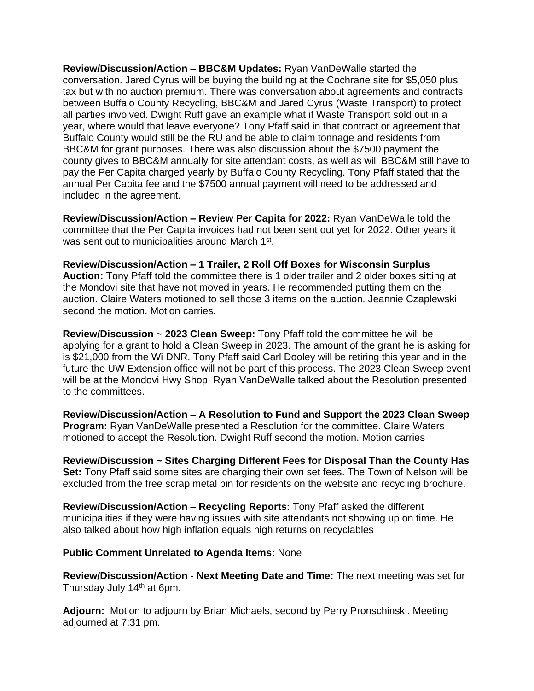**Review/Discussion/Action – BBC&M Updates:** Ryan VanDeWalle started the conversation. Jared Cyrus will be buying the building at the Cochrane site for \$5,050 plus tax but with no auction premium. There was conversation about agreements and contracts between Buffalo County Recycling, BBC&M and Jared Cyrus (Waste Transport) to protect all parties involved. Dwight Ruff gave an example what if Waste Transport sold out in a year, where would that leave everyone? Tony Pfaff said in that contract or agreement that Buffalo County would still be the RU and be able to claim tonnage and residents from BBC&M for grant purposes. There was also discussion about the \$7500 payment the county gives to BBC&M annually for site attendant costs, as well as will BBC&M still have to pay the Per Capita charged yearly by Buffalo County Recycling. Tony Pfaff stated that the annual Per Capita fee and the \$7500 annual payment will need to be addressed and included in the agreement.

**Review/Discussion/Action – Review Per Capita for 2022:** Ryan VanDeWalle told the committee that the Per Capita invoices had not been sent out yet for 2022. Other years it was sent out to municipalities around March 1<sup>st</sup>.

**Review/Discussion/Action – 1 Trailer, 2 Roll Off Boxes for Wisconsin Surplus Auction:** Tony Pfaff told the committee there is 1 older trailer and 2 older boxes sitting at the Mondovi site that have not moved in years. He recommended putting them on the auction. Claire Waters motioned to sell those 3 items on the auction. Jeannie Czaplewski second the motion. Motion carries.

**Review/Discussion ~ 2023 Clean Sweep:** Tony Pfaff told the committee he will be applying for a grant to hold a Clean Sweep in 2023. The amount of the grant he is asking for is \$21,000 from the Wi DNR. Tony Pfaff said Carl Dooley will be retiring this year and in the future the UW Extension office will not be part of this process. The 2023 Clean Sweep event will be at the Mondovi Hwy Shop. Ryan VanDeWalle talked about the Resolution presented to the committees.

**Review/Discussion/Action – A Resolution to Fund and Support the 2023 Clean Sweep Program:** Ryan VanDeWalle presented a Resolution for the committee. Claire Waters motioned to accept the Resolution. Dwight Ruff second the motion. Motion carries

**Review/Discussion ~ Sites Charging Different Fees for Disposal Than the County Has Set:** Tony Pfaff said some sites are charging their own set fees. The Town of Nelson will be excluded from the free scrap metal bin for residents on the website and recycling brochure.

**Review/Discussion/Action – Recycling Reports:** Tony Pfaff asked the different municipalities if they were having issues with site attendants not showing up on time. He also talked about how high inflation equals high returns on recyclables

## **Public Comment Unrelated to Agenda Items:** None

**Review/Discussion/Action - Next Meeting Date and Time:** The next meeting was set for Thursday July 14<sup>th</sup> at 6pm.

**Adjourn:** Motion to adjourn by Brian Michaels, second by Perry Pronschinski. Meeting adjourned at 7:31 pm.